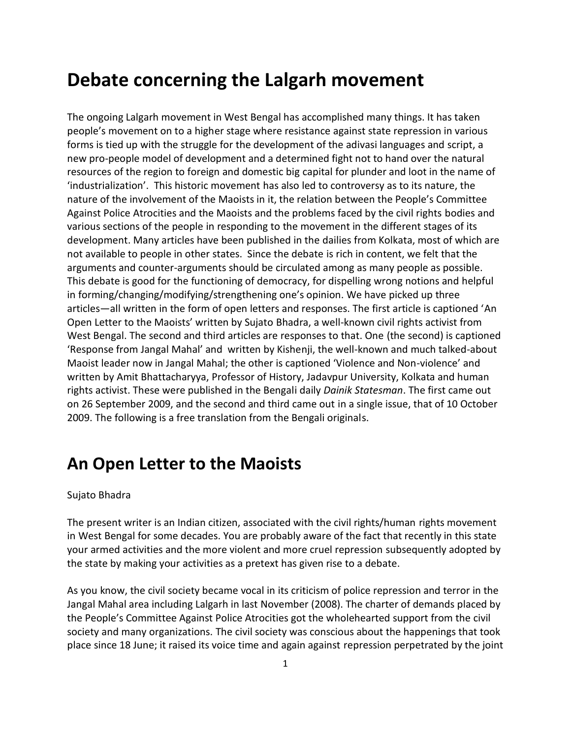# **Debate concerning the Lalgarh movement**

The ongoing Lalgarh movement in West Bengal has accomplished many things. It has taken people's movement on to a higher stage where resistance against state repression in various forms is tied up with the struggle for the development of the adivasi languages and script, a new pro-people model of development and a determined fight not to hand over the natural resources of the region to foreign and domestic big capital for plunder and loot in the name of 'industrialization'. This historic movement has also led to controversy as to its nature, the nature of the involvement of the Maoists in it, the relation between the People's Committee Against Police Atrocities and the Maoists and the problems faced by the civil rights bodies and various sections of the people in responding to the movement in the different stages of its development. Many articles have been published in the dailies from Kolkata, most of which are not available to people in other states. Since the debate is rich in content, we felt that the arguments and counter-arguments should be circulated among as many people as possible. This debate is good for the functioning of democracy, for dispelling wrong notions and helpful in forming/changing/modifying/strengthening one's opinion. We have picked up three articles—all written in the form of open letters and responses. The first article is captioned 'An Open Letter to the Maoists' written by Sujato Bhadra, a well-known civil rights activist from West Bengal. The second and third articles are responses to that. One (the second) is captioned 'Response from Jangal Mahal' and written by Kishenji, the well-known and much talked-about Maoist leader now in Jangal Mahal; the other is captioned 'Violence and Non-violence' and written by Amit Bhattacharyya, Professor of History, Jadavpur University, Kolkata and human rights activist. These were published in the Bengali daily *Dainik Statesman*. The first came out on 26 September 2009, and the second and third came out in a single issue, that of 10 October 2009. The following is a free translation from the Bengali originals.

### **An Open Letter to the Maoists**

### Sujato Bhadra

The present writer is an Indian citizen, associated with the civil rights/human rights movement in West Bengal for some decades. You are probably aware of the fact that recently in this state your armed activities and the more violent and more cruel repression subsequently adopted by the state by making your activities as a pretext has given rise to a debate.

As you know, the civil society became vocal in its criticism of police repression and terror in the Jangal Mahal area including Lalgarh in last November (2008). The charter of demands placed by the People's Committee Against Police Atrocities got the wholehearted support from the civil society and many organizations. The civil society was conscious about the happenings that took place since 18 June; it raised its voice time and again against repression perpetrated by the joint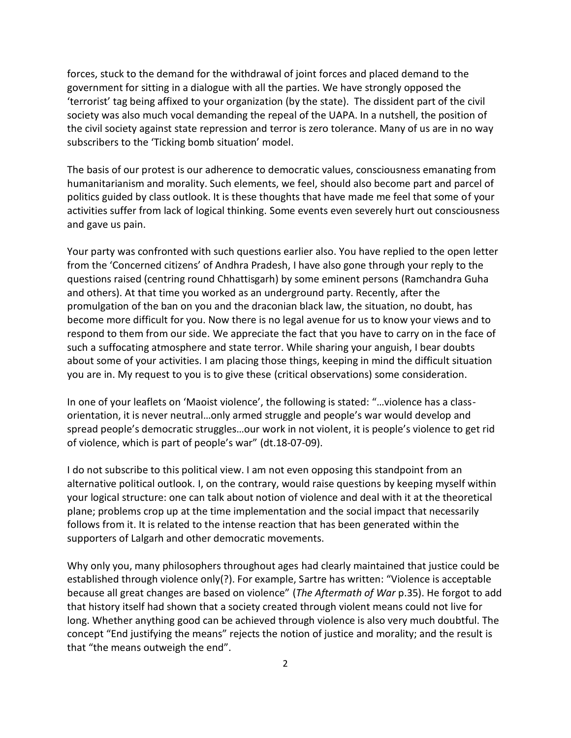forces, stuck to the demand for the withdrawal of joint forces and placed demand to the government for sitting in a dialogue with all the parties. We have strongly opposed the 'terrorist' tag being affixed to your organization (by the state). The dissident part of the civil society was also much vocal demanding the repeal of the UAPA. In a nutshell, the position of the civil society against state repression and terror is zero tolerance. Many of us are in no way subscribers to the 'Ticking bomb situation' model.

The basis of our protest is our adherence to democratic values, consciousness emanating from humanitarianism and morality. Such elements, we feel, should also become part and parcel of politics guided by class outlook. It is these thoughts that have made me feel that some of your activities suffer from lack of logical thinking. Some events even severely hurt out consciousness and gave us pain.

Your party was confronted with such questions earlier also. You have replied to the open letter from the 'Concerned citizens' of Andhra Pradesh, I have also gone through your reply to the questions raised (centring round Chhattisgarh) by some eminent persons (Ramchandra Guha and others). At that time you worked as an underground party. Recently, after the promulgation of the ban on you and the draconian black law, the situation, no doubt, has become more difficult for you. Now there is no legal avenue for us to know your views and to respond to them from our side. We appreciate the fact that you have to carry on in the face of such a suffocating atmosphere and state terror. While sharing your anguish, I bear doubts about some of your activities. I am placing those things, keeping in mind the difficult situation you are in. My request to you is to give these (critical observations) some consideration.

In one of your leaflets on 'Maoist violence', the following is stated: "…violence has a classorientation, it is never neutral…only armed struggle and people's war would develop and spread people's democratic struggles…our work in not violent, it is people's violence to get rid of violence, which is part of people's war" (dt.18-07-09).

I do not subscribe to this political view. I am not even opposing this standpoint from an alternative political outlook. I, on the contrary, would raise questions by keeping myself within your logical structure: one can talk about notion of violence and deal with it at the theoretical plane; problems crop up at the time implementation and the social impact that necessarily follows from it. It is related to the intense reaction that has been generated within the supporters of Lalgarh and other democratic movements.

Why only you, many philosophers throughout ages had clearly maintained that justice could be established through violence only(?). For example, Sartre has written: "Violence is acceptable because all great changes are based on violence" (*The Aftermath of War* p.35). He forgot to add that history itself had shown that a society created through violent means could not live for long. Whether anything good can be achieved through violence is also very much doubtful. The concept "End justifying the means" rejects the notion of justice and morality; and the result is that "the means outweigh the end".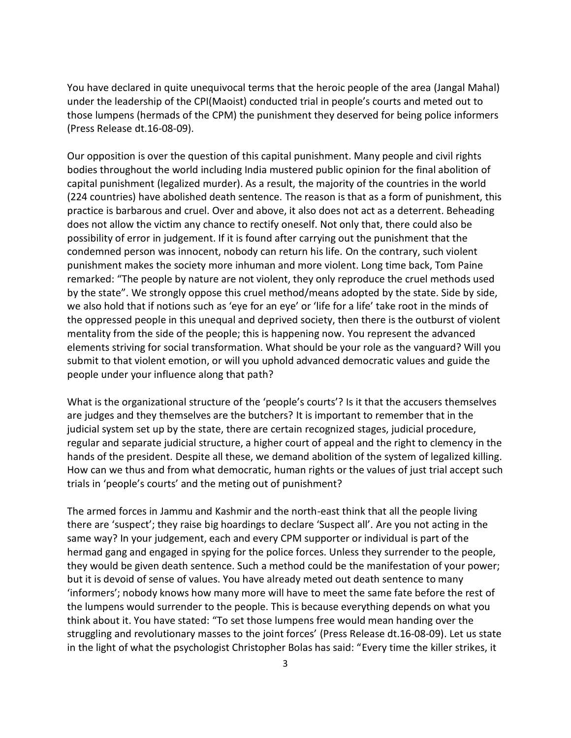You have declared in quite unequivocal terms that the heroic people of the area (Jangal Mahal) under the leadership of the CPI(Maoist) conducted trial in people's courts and meted out to those lumpens (hermads of the CPM) the punishment they deserved for being police informers (Press Release dt.16-08-09).

Our opposition is over the question of this capital punishment. Many people and civil rights bodies throughout the world including India mustered public opinion for the final abolition of capital punishment (legalized murder). As a result, the majority of the countries in the world (224 countries) have abolished death sentence. The reason is that as a form of punishment, this practice is barbarous and cruel. Over and above, it also does not act as a deterrent. Beheading does not allow the victim any chance to rectify oneself. Not only that, there could also be possibility of error in judgement. If it is found after carrying out the punishment that the condemned person was innocent, nobody can return his life. On the contrary, such violent punishment makes the society more inhuman and more violent. Long time back, Tom Paine remarked: "The people by nature are not violent, they only reproduce the cruel methods used by the state". We strongly oppose this cruel method/means adopted by the state. Side by side, we also hold that if notions such as 'eye for an eye' or 'life for a life' take root in the minds of the oppressed people in this unequal and deprived society, then there is the outburst of violent mentality from the side of the people; this is happening now. You represent the advanced elements striving for social transformation. What should be your role as the vanguard? Will you submit to that violent emotion, or will you uphold advanced democratic values and guide the people under your influence along that path?

What is the organizational structure of the 'people's courts'? Is it that the accusers themselves are judges and they themselves are the butchers? It is important to remember that in the judicial system set up by the state, there are certain recognized stages, judicial procedure, regular and separate judicial structure, a higher court of appeal and the right to clemency in the hands of the president. Despite all these, we demand abolition of the system of legalized killing. How can we thus and from what democratic, human rights or the values of just trial accept such trials in 'people's courts' and the meting out of punishment?

The armed forces in Jammu and Kashmir and the north-east think that all the people living there are 'suspect'; they raise big hoardings to declare 'Suspect all'. Are you not acting in the same way? In your judgement, each and every CPM supporter or individual is part of the hermad gang and engaged in spying for the police forces. Unless they surrender to the people, they would be given death sentence. Such a method could be the manifestation of your power; but it is devoid of sense of values. You have already meted out death sentence to many 'informers'; nobody knows how many more will have to meet the same fate before the rest of the lumpens would surrender to the people. This is because everything depends on what you think about it. You have stated: "To set those lumpens free would mean handing over the struggling and revolutionary masses to the joint forces' (Press Release dt.16-08-09). Let us state in the light of what the psychologist Christopher Bolas has said: "Every time the killer strikes, it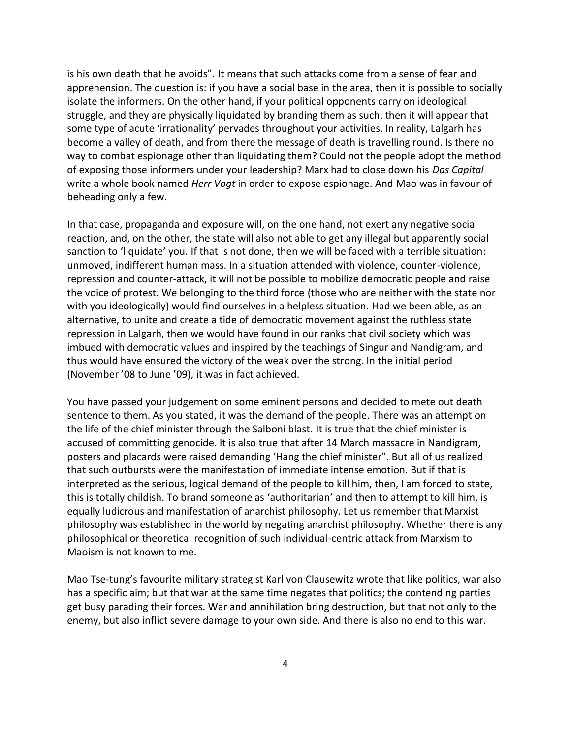is his own death that he avoids". It means that such attacks come from a sense of fear and apprehension. The question is: if you have a social base in the area, then it is possible to socially isolate the informers. On the other hand, if your political opponents carry on ideological struggle, and they are physically liquidated by branding them as such, then it will appear that some type of acute 'irrationality' pervades throughout your activities. In reality, Lalgarh has become a valley of death, and from there the message of death is travelling round. Is there no way to combat espionage other than liquidating them? Could not the people adopt the method of exposing those informers under your leadership? Marx had to close down his *Das Capital* write a whole book named *Herr Vogt* in order to expose espionage. And Mao was in favour of beheading only a few.

In that case, propaganda and exposure will, on the one hand, not exert any negative social reaction, and, on the other, the state will also not able to get any illegal but apparently social sanction to 'liquidate' you. If that is not done, then we will be faced with a terrible situation: unmoved, indifferent human mass. In a situation attended with violence, counter-violence, repression and counter-attack, it will not be possible to mobilize democratic people and raise the voice of protest. We belonging to the third force (those who are neither with the state nor with you ideologically) would find ourselves in a helpless situation. Had we been able, as an alternative, to unite and create a tide of democratic movement against the ruthless state repression in Lalgarh, then we would have found in our ranks that civil society which was imbued with democratic values and inspired by the teachings of Singur and Nandigram, and thus would have ensured the victory of the weak over the strong. In the initial period (November '08 to June '09), it was in fact achieved.

You have passed your judgement on some eminent persons and decided to mete out death sentence to them. As you stated, it was the demand of the people. There was an attempt on the life of the chief minister through the Salboni blast. It is true that the chief minister is accused of committing genocide. It is also true that after 14 March massacre in Nandigram, posters and placards were raised demanding 'Hang the chief minister". But all of us realized that such outbursts were the manifestation of immediate intense emotion. But if that is interpreted as the serious, logical demand of the people to kill him, then, I am forced to state, this is totally childish. To brand someone as 'authoritarian' and then to attempt to kill him, is equally ludicrous and manifestation of anarchist philosophy. Let us remember that Marxist philosophy was established in the world by negating anarchist philosophy. Whether there is any philosophical or theoretical recognition of such individual-centric attack from Marxism to Maoism is not known to me.

Mao Tse-tung's favourite military strategist Karl von Clausewitz wrote that like politics, war also has a specific aim; but that war at the same time negates that politics; the contending parties get busy parading their forces. War and annihilation bring destruction, but that not only to the enemy, but also inflict severe damage to your own side. And there is also no end to this war.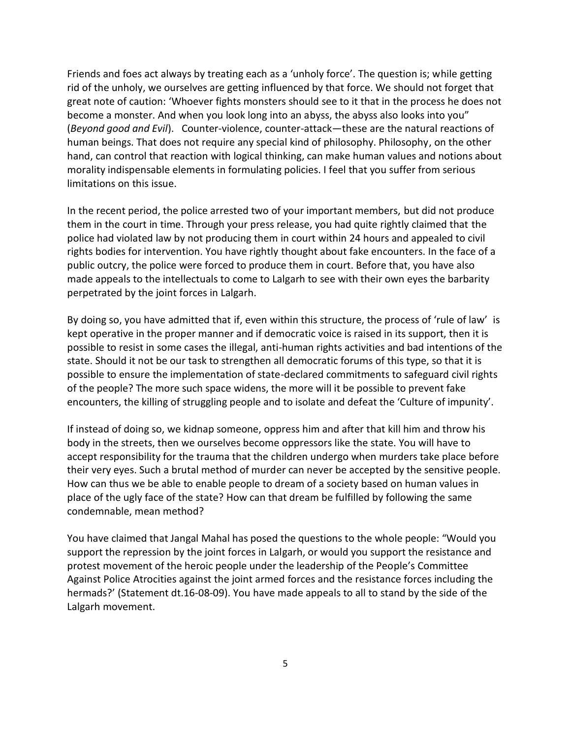Friends and foes act always by treating each as a 'unholy force'. The question is; while getting rid of the unholy, we ourselves are getting influenced by that force. We should not forget that great note of caution: 'Whoever fights monsters should see to it that in the process he does not become a monster. And when you look long into an abyss, the abyss also looks into you" (*Beyond good and Evil*). Counter-violence, counter-attack—these are the natural reactions of human beings. That does not require any special kind of philosophy. Philosophy, on the other hand, can control that reaction with logical thinking, can make human values and notions about morality indispensable elements in formulating policies. I feel that you suffer from serious limitations on this issue.

In the recent period, the police arrested two of your important members, but did not produce them in the court in time. Through your press release, you had quite rightly claimed that the police had violated law by not producing them in court within 24 hours and appealed to civil rights bodies for intervention. You have rightly thought about fake encounters. In the face of a public outcry, the police were forced to produce them in court. Before that, you have also made appeals to the intellectuals to come to Lalgarh to see with their own eyes the barbarity perpetrated by the joint forces in Lalgarh.

By doing so, you have admitted that if, even within this structure, the process of 'rule of law' is kept operative in the proper manner and if democratic voice is raised in its support, then it is possible to resist in some cases the illegal, anti-human rights activities and bad intentions of the state. Should it not be our task to strengthen all democratic forums of this type, so that it is possible to ensure the implementation of state-declared commitments to safeguard civil rights of the people? The more such space widens, the more will it be possible to prevent fake encounters, the killing of struggling people and to isolate and defeat the 'Culture of impunity'.

If instead of doing so, we kidnap someone, oppress him and after that kill him and throw his body in the streets, then we ourselves become oppressors like the state. You will have to accept responsibility for the trauma that the children undergo when murders take place before their very eyes. Such a brutal method of murder can never be accepted by the sensitive people. How can thus we be able to enable people to dream of a society based on human values in place of the ugly face of the state? How can that dream be fulfilled by following the same condemnable, mean method?

You have claimed that Jangal Mahal has posed the questions to the whole people: "Would you support the repression by the joint forces in Lalgarh, or would you support the resistance and protest movement of the heroic people under the leadership of the People's Committee Against Police Atrocities against the joint armed forces and the resistance forces including the hermads?' (Statement dt.16-08-09). You have made appeals to all to stand by the side of the Lalgarh movement.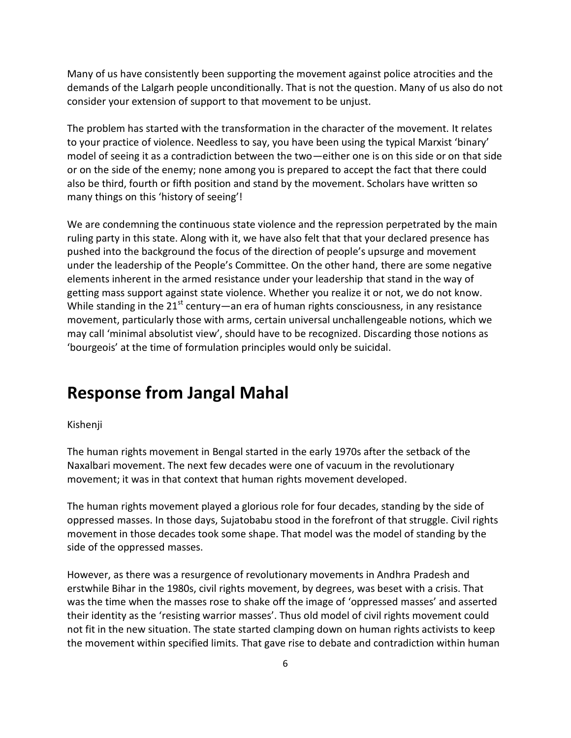Many of us have consistently been supporting the movement against police atrocities and the demands of the Lalgarh people unconditionally. That is not the question. Many of us also do not consider your extension of support to that movement to be unjust.

The problem has started with the transformation in the character of the movement. It relates to your practice of violence. Needless to say, you have been using the typical Marxist 'binary' model of seeing it as a contradiction between the two—either one is on this side or on that side or on the side of the enemy; none among you is prepared to accept the fact that there could also be third, fourth or fifth position and stand by the movement. Scholars have written so many things on this 'history of seeing'!

We are condemning the continuous state violence and the repression perpetrated by the main ruling party in this state. Along with it, we have also felt that that your declared presence has pushed into the background the focus of the direction of people's upsurge and movement under the leadership of the People's Committee. On the other hand, there are some negative elements inherent in the armed resistance under your leadership that stand in the way of getting mass support against state violence. Whether you realize it or not, we do not know. While standing in the  $21^{st}$  century—an era of human rights consciousness, in any resistance movement, particularly those with arms, certain universal unchallengeable notions, which we may call 'minimal absolutist view', should have to be recognized. Discarding those notions as 'bourgeois' at the time of formulation principles would only be suicidal.

### **Response from Jangal Mahal**

#### Kishenji

The human rights movement in Bengal started in the early 1970s after the setback of the Naxalbari movement. The next few decades were one of vacuum in the revolutionary movement; it was in that context that human rights movement developed.

The human rights movement played a glorious role for four decades, standing by the side of oppressed masses. In those days, Sujatobabu stood in the forefront of that struggle. Civil rights movement in those decades took some shape. That model was the model of standing by the side of the oppressed masses.

However, as there was a resurgence of revolutionary movements in Andhra Pradesh and erstwhile Bihar in the 1980s, civil rights movement, by degrees, was beset with a crisis. That was the time when the masses rose to shake off the image of 'oppressed masses' and asserted their identity as the 'resisting warrior masses'. Thus old model of civil rights movement could not fit in the new situation. The state started clamping down on human rights activists to keep the movement within specified limits. That gave rise to debate and contradiction within human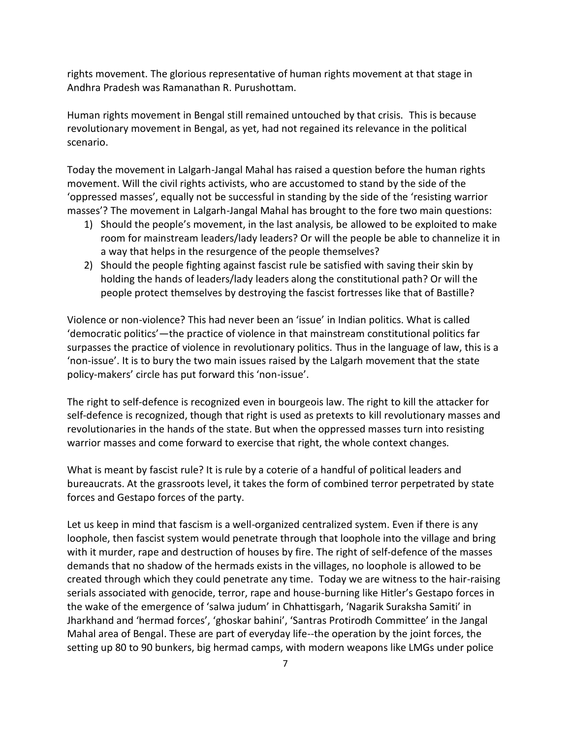rights movement. The glorious representative of human rights movement at that stage in Andhra Pradesh was Ramanathan R. Purushottam.

Human rights movement in Bengal still remained untouched by that crisis. This is because revolutionary movement in Bengal, as yet, had not regained its relevance in the political scenario.

Today the movement in Lalgarh-Jangal Mahal has raised a question before the human rights movement. Will the civil rights activists, who are accustomed to stand by the side of the 'oppressed masses', equally not be successful in standing by the side of the 'resisting warrior masses'? The movement in Lalgarh-Jangal Mahal has brought to the fore two main questions:

- 1) Should the people's movement, in the last analysis, be allowed to be exploited to make room for mainstream leaders/lady leaders? Or will the people be able to channelize it in a way that helps in the resurgence of the people themselves?
- 2) Should the people fighting against fascist rule be satisfied with saving their skin by holding the hands of leaders/lady leaders along the constitutional path? Or will the people protect themselves by destroying the fascist fortresses like that of Bastille?

Violence or non-violence? This had never been an 'issue' in Indian politics. What is called 'democratic politics'—the practice of violence in that mainstream constitutional politics far surpasses the practice of violence in revolutionary politics. Thus in the language of law, this is a 'non-issue'. It is to bury the two main issues raised by the Lalgarh movement that the state policy-makers' circle has put forward this 'non-issue'.

The right to self-defence is recognized even in bourgeois law. The right to kill the attacker for self-defence is recognized, though that right is used as pretexts to kill revolutionary masses and revolutionaries in the hands of the state. But when the oppressed masses turn into resisting warrior masses and come forward to exercise that right, the whole context changes.

What is meant by fascist rule? It is rule by a coterie of a handful of political leaders and bureaucrats. At the grassroots level, it takes the form of combined terror perpetrated by state forces and Gestapo forces of the party.

Let us keep in mind that fascism is a well-organized centralized system. Even if there is any loophole, then fascist system would penetrate through that loophole into the village and bring with it murder, rape and destruction of houses by fire. The right of self-defence of the masses demands that no shadow of the hermads exists in the villages, no loophole is allowed to be created through which they could penetrate any time. Today we are witness to the hair-raising serials associated with genocide, terror, rape and house-burning like Hitler's Gestapo forces in the wake of the emergence of 'salwa judum' in Chhattisgarh, 'Nagarik Suraksha Samiti' in Jharkhand and 'hermad forces', 'ghoskar bahini', 'Santras Protirodh Committee' in the Jangal Mahal area of Bengal. These are part of everyday life--the operation by the joint forces, the setting up 80 to 90 bunkers, big hermad camps, with modern weapons like LMGs under police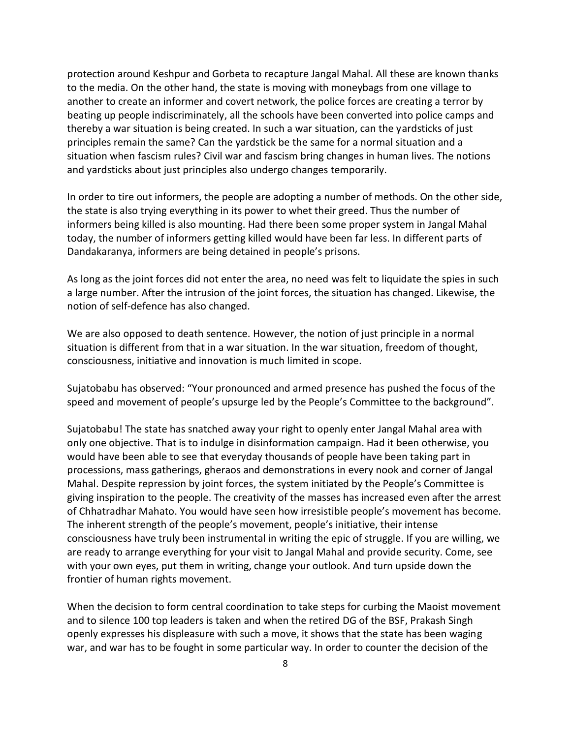protection around Keshpur and Gorbeta to recapture Jangal Mahal. All these are known thanks to the media. On the other hand, the state is moving with moneybags from one village to another to create an informer and covert network, the police forces are creating a terror by beating up people indiscriminately, all the schools have been converted into police camps and thereby a war situation is being created. In such a war situation, can the yardsticks of just principles remain the same? Can the yardstick be the same for a normal situation and a situation when fascism rules? Civil war and fascism bring changes in human lives. The notions and yardsticks about just principles also undergo changes temporarily.

In order to tire out informers, the people are adopting a number of methods. On the other side, the state is also trying everything in its power to whet their greed. Thus the number of informers being killed is also mounting. Had there been some proper system in Jangal Mahal today, the number of informers getting killed would have been far less. In different parts of Dandakaranya, informers are being detained in people's prisons.

As long as the joint forces did not enter the area, no need was felt to liquidate the spies in such a large number. After the intrusion of the joint forces, the situation has changed. Likewise, the notion of self-defence has also changed.

We are also opposed to death sentence. However, the notion of just principle in a normal situation is different from that in a war situation. In the war situation, freedom of thought, consciousness, initiative and innovation is much limited in scope.

Sujatobabu has observed: "Your pronounced and armed presence has pushed the focus of the speed and movement of people's upsurge led by the People's Committee to the background".

Sujatobabu! The state has snatched away your right to openly enter Jangal Mahal area with only one objective. That is to indulge in disinformation campaign. Had it been otherwise, you would have been able to see that everyday thousands of people have been taking part in processions, mass gatherings, gheraos and demonstrations in every nook and corner of Jangal Mahal. Despite repression by joint forces, the system initiated by the People's Committee is giving inspiration to the people. The creativity of the masses has increased even after the arrest of Chhatradhar Mahato. You would have seen how irresistible people's movement has become. The inherent strength of the people's movement, people's initiative, their intense consciousness have truly been instrumental in writing the epic of struggle. If you are willing, we are ready to arrange everything for your visit to Jangal Mahal and provide security. Come, see with your own eyes, put them in writing, change your outlook. And turn upside down the frontier of human rights movement.

When the decision to form central coordination to take steps for curbing the Maoist movement and to silence 100 top leaders is taken and when the retired DG of the BSF, Prakash Singh openly expresses his displeasure with such a move, it shows that the state has been waging war, and war has to be fought in some particular way. In order to counter the decision of the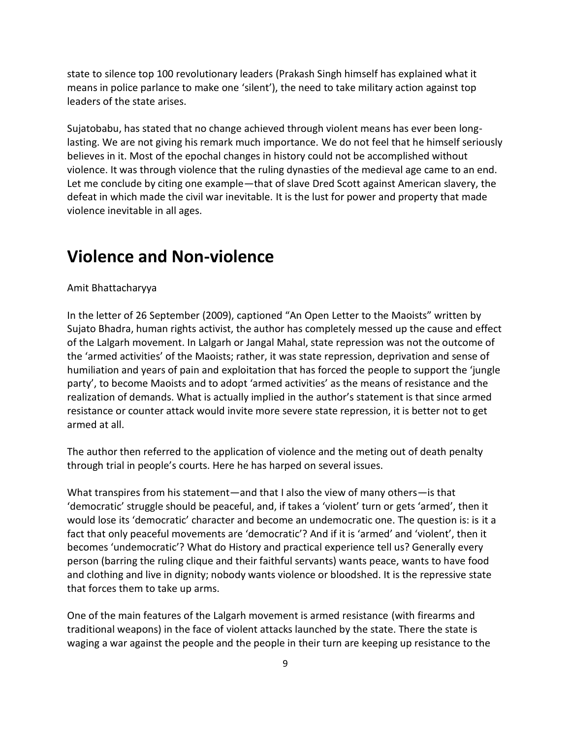state to silence top 100 revolutionary leaders (Prakash Singh himself has explained what it means in police parlance to make one 'silent'), the need to take military action against top leaders of the state arises.

Sujatobabu, has stated that no change achieved through violent means has ever been longlasting. We are not giving his remark much importance. We do not feel that he himself seriously believes in it. Most of the epochal changes in history could not be accomplished without violence. It was through violence that the ruling dynasties of the medieval age came to an end. Let me conclude by citing one example—that of slave Dred Scott against American slavery, the defeat in which made the civil war inevitable. It is the lust for power and property that made violence inevitable in all ages.

## **Violence and Non-violence**

#### Amit Bhattacharyya

In the letter of 26 September (2009), captioned "An Open Letter to the Maoists" written by Sujato Bhadra, human rights activist, the author has completely messed up the cause and effect of the Lalgarh movement. In Lalgarh or Jangal Mahal, state repression was not the outcome of the 'armed activities' of the Maoists; rather, it was state repression, deprivation and sense of humiliation and years of pain and exploitation that has forced the people to support the 'jungle party', to become Maoists and to adopt 'armed activities' as the means of resistance and the realization of demands. What is actually implied in the author's statement is that since armed resistance or counter attack would invite more severe state repression, it is better not to get armed at all.

The author then referred to the application of violence and the meting out of death penalty through trial in people's courts. Here he has harped on several issues.

What transpires from his statement—and that I also the view of many others—is that 'democratic' struggle should be peaceful, and, if takes a 'violent' turn or gets 'armed', then it would lose its 'democratic' character and become an undemocratic one. The question is: is it a fact that only peaceful movements are 'democratic'? And if it is 'armed' and 'violent', then it becomes 'undemocratic'? What do History and practical experience tell us? Generally every person (barring the ruling clique and their faithful servants) wants peace, wants to have food and clothing and live in dignity; nobody wants violence or bloodshed. It is the repressive state that forces them to take up arms.

One of the main features of the Lalgarh movement is armed resistance (with firearms and traditional weapons) in the face of violent attacks launched by the state. There the state is waging a war against the people and the people in their turn are keeping up resistance to the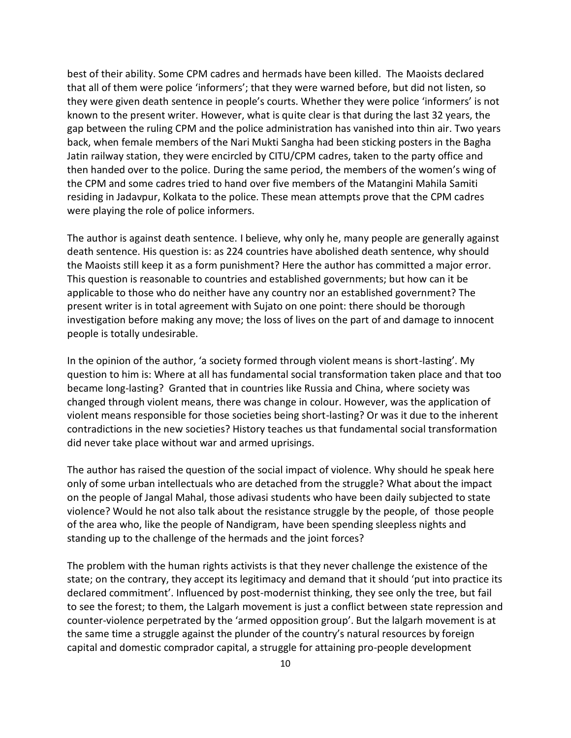best of their ability. Some CPM cadres and hermads have been killed. The Maoists declared that all of them were police 'informers'; that they were warned before, but did not listen, so they were given death sentence in people's courts. Whether they were police 'informers' is not known to the present writer. However, what is quite clear is that during the last 32 years, the gap between the ruling CPM and the police administration has vanished into thin air. Two years back, when female members of the Nari Mukti Sangha had been sticking posters in the Bagha Jatin railway station, they were encircled by CITU/CPM cadres, taken to the party office and then handed over to the police. During the same period, the members of the women's wing of the CPM and some cadres tried to hand over five members of the Matangini Mahila Samiti residing in Jadavpur, Kolkata to the police. These mean attempts prove that the CPM cadres were playing the role of police informers.

The author is against death sentence. I believe, why only he, many people are generally against death sentence. His question is: as 224 countries have abolished death sentence, why should the Maoists still keep it as a form punishment? Here the author has committed a major error. This question is reasonable to countries and established governments; but how can it be applicable to those who do neither have any country nor an established government? The present writer is in total agreement with Sujato on one point: there should be thorough investigation before making any move; the loss of lives on the part of and damage to innocent people is totally undesirable.

In the opinion of the author, 'a society formed through violent means is short-lasting'. My question to him is: Where at all has fundamental social transformation taken place and that too became long-lasting? Granted that in countries like Russia and China, where society was changed through violent means, there was change in colour. However, was the application of violent means responsible for those societies being short-lasting? Or was it due to the inherent contradictions in the new societies? History teaches us that fundamental social transformation did never take place without war and armed uprisings.

The author has raised the question of the social impact of violence. Why should he speak here only of some urban intellectuals who are detached from the struggle? What about the impact on the people of Jangal Mahal, those adivasi students who have been daily subjected to state violence? Would he not also talk about the resistance struggle by the people, of those people of the area who, like the people of Nandigram, have been spending sleepless nights and standing up to the challenge of the hermads and the joint forces?

The problem with the human rights activists is that they never challenge the existence of the state; on the contrary, they accept its legitimacy and demand that it should 'put into practice its declared commitment'. Influenced by post-modernist thinking, they see only the tree, but fail to see the forest; to them, the Lalgarh movement is just a conflict between state repression and counter-violence perpetrated by the 'armed opposition group'. But the lalgarh movement is at the same time a struggle against the plunder of the country's natural resources by foreign capital and domestic comprador capital, a struggle for attaining pro-people development